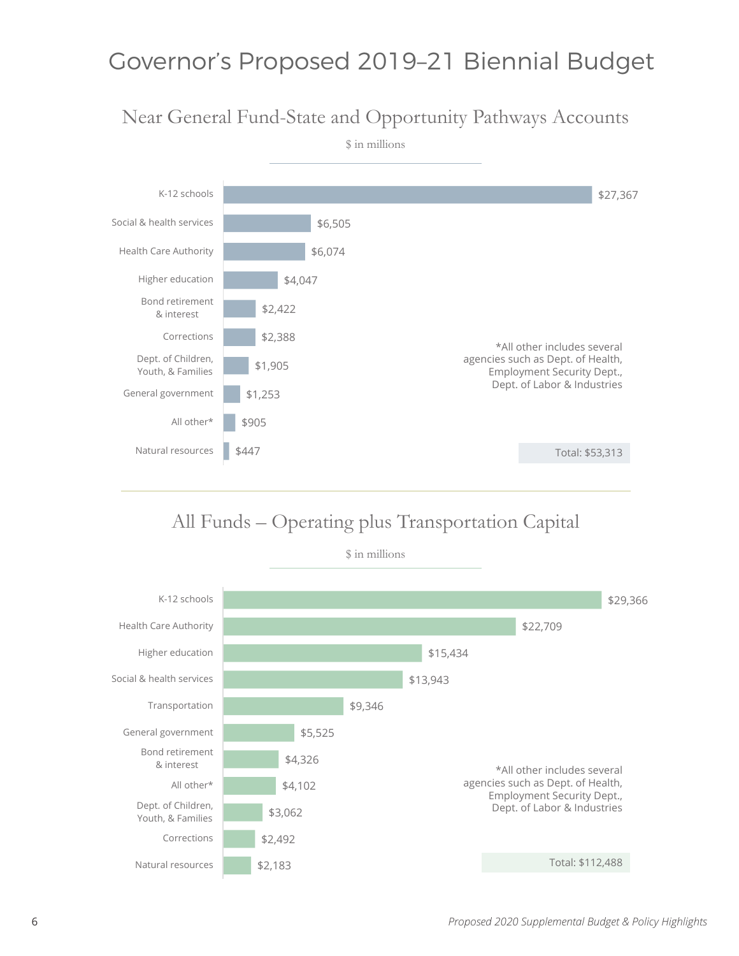# Governor's Proposed 2019–21 Biennial Budget

### Near General Fund-State and Opportunity Pathways Accounts



### All Funds – Operating plus Transportation Capital

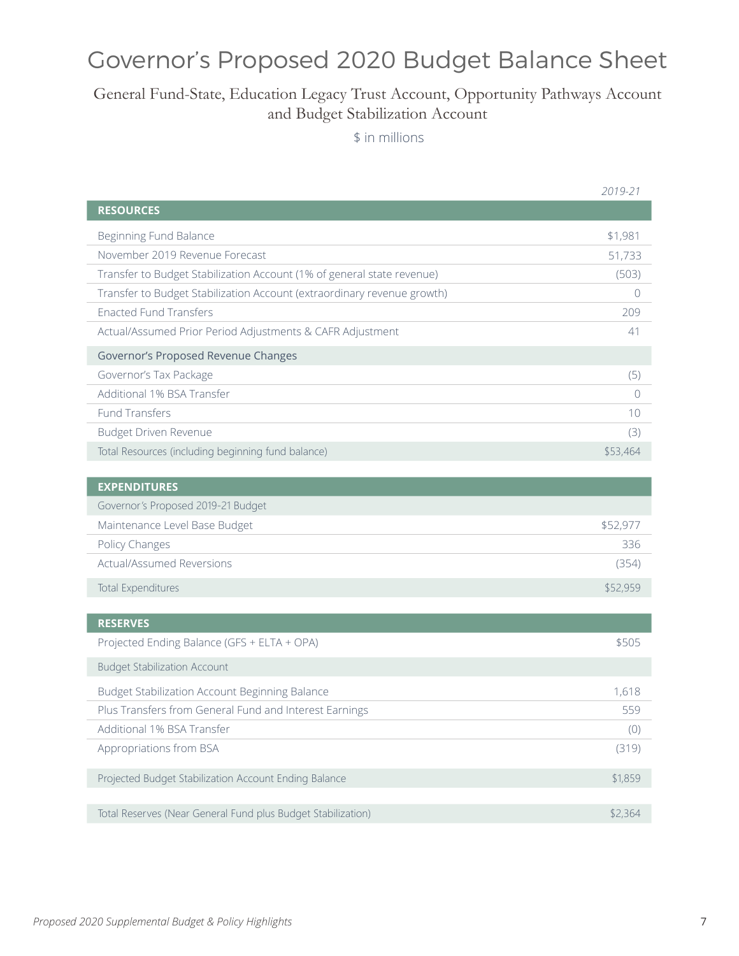# Governor's Proposed 2020 Budget Balance Sheet

#### General Fund-State, Education Legacy Trust Account, Opportunity Pathways Account and Budget Stabilization Account

\$ in millions

|                                                                         | 2019-21   |
|-------------------------------------------------------------------------|-----------|
| <b>RESOURCES</b>                                                        |           |
| Beginning Fund Balance                                                  | \$1,981   |
| November 2019 Revenue Forecast                                          | 51,733    |
| Transfer to Budget Stabilization Account (1% of general state revenue)  | (503)     |
| Transfer to Budget Stabilization Account (extraordinary revenue growth) | $\Omega$  |
| <b>Enacted Fund Transfers</b>                                           | 209       |
| Actual/Assumed Prior Period Adjustments & CAFR Adjustment               | 41        |
| Governor's Proposed Revenue Changes                                     |           |
| Governor's Tax Package                                                  | (5)       |
| Additional 1% BSA Transfer                                              | $\bigcap$ |
| <b>Fund Transfers</b>                                                   | 10        |
| Budget Driven Revenue                                                   | (3)       |
| Total Resources (including beginning fund balance)                      | \$53,464  |
| <b>EXPENDITURES</b>                                                     |           |
| Governor's Proposed 2019-21 Budget                                      |           |
| Maintenance Level Base Budget                                           | \$52,977  |
| Policy Changes                                                          | 336       |
| Actual/Assumed Reversions                                               | (354)     |
| <b>Total Expenditures</b>                                               | \$52,959  |
| <b>RESERVES</b>                                                         |           |
| Projected Ending Balance (GFS + ELTA + OPA)                             | \$505     |
| <b>Budget Stabilization Account</b>                                     |           |
| Budget Stabilization Account Beginning Balance                          | 1,618     |
| Plus Transfers from General Fund and Interest Earnings                  | 559       |
| Additional 1% BSA Transfer                                              | (0)       |
| Appropriations from BSA                                                 | (319)     |
| Projected Budget Stabilization Account Ending Balance                   | \$1,859   |
| Total Reserves (Near General Fund plus Budget Stabilization)            | \$2,364   |
|                                                                         |           |